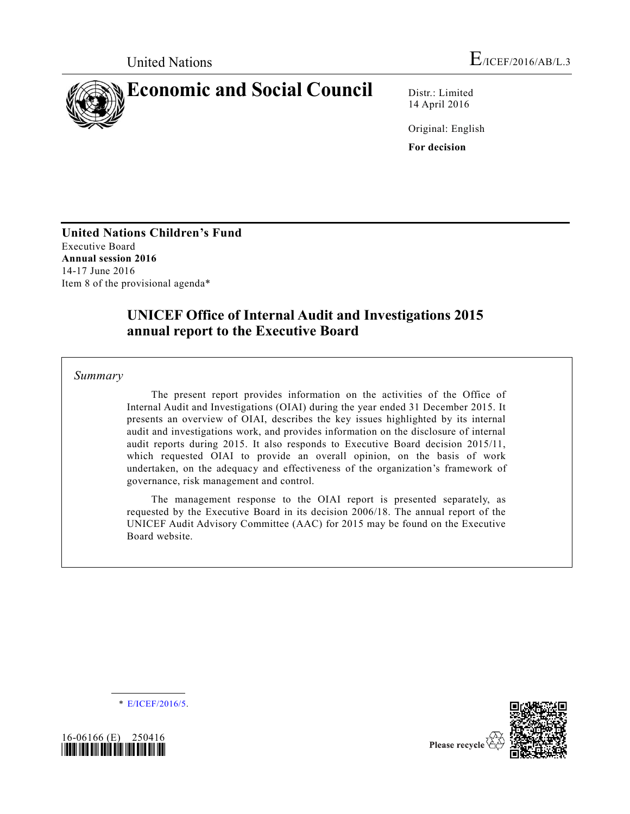

14 April 2016

Original: English **For decision**

**United Nations Children's Fund** Executive Board **Annual session 2016** 14-17 June 2016 Item 8 of the provisional agenda\*

# **UNICEF Office of Internal Audit and Investigations 2015 annual report to the Executive Board**

*Summary*

The present report provides information on the activities of the Office of Internal Audit and Investigations (OIAI) during the year ended 31 December 2015. It presents an overview of OIAI, describes the key issues highlighted by its internal audit and investigations work, and provides information on the disclosure of internal audit reports during 2015. It also responds to Executive Board decision 2015/11, which requested OIAI to provide an overall opinion, on the basis of work undertaken, on the adequacy and effectiveness of the organization's framework of governance, risk management and control.

The management response to the OIAI report is presented separately, as requested by the Executive Board in its decision 2006/18. The annual report of the UNICEF Audit Advisory Committee (AAC) for 2015 may be found on the Executive Board website.

\* [E/ICEF/2016/5.](http://undocs.org/E/ICEF/2016/5)



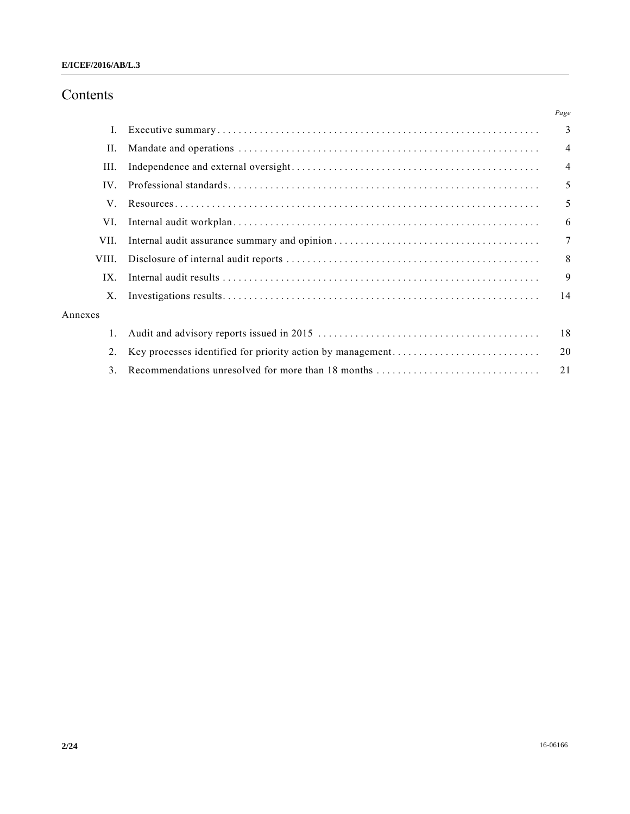# Contents

|                | Page           |
|----------------|----------------|
| L.             | $\overline{3}$ |
| II.            | $\overline{4}$ |
| III.           | $\overline{4}$ |
| $IV_{-}$       | 5              |
| V.             | 5              |
| VI.            | 6              |
| VII.           | $\overline{7}$ |
| VIII.          | 8              |
| $IX_{-}$       | 9              |
| X.             | 14             |
| Annexes        |                |
| $\mathbf{1}$ . | 18             |
| 2.             | 20             |
| 3.             | 21             |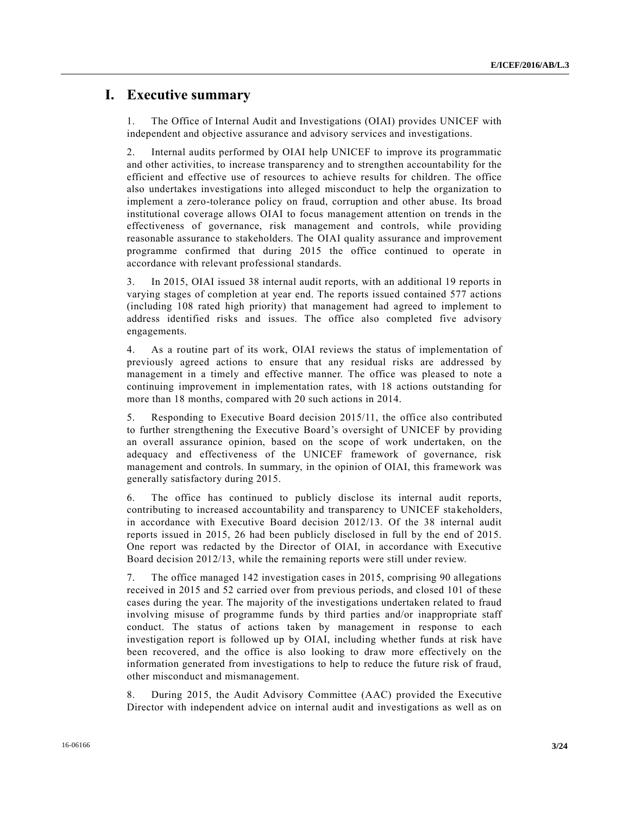## **I. Executive summary**

1. The Office of Internal Audit and Investigations (OIAI) provides UNICEF with independent and objective assurance and advisory services and investigations.

2. Internal audits performed by OIAI help UNICEF to improve its programmatic and other activities, to increase transparency and to strengthen accountability for the efficient and effective use of resources to achieve results for children. The office also undertakes investigations into alleged misconduct to help the organization to implement a zero-tolerance policy on fraud, corruption and other abuse. Its broad institutional coverage allows OIAI to focus management attention on trends in the effectiveness of governance, risk management and controls, while providing reasonable assurance to stakeholders. The OIAI quality assurance and improvement programme confirmed that during 2015 the office continued to operate in accordance with relevant professional standards.

3. In 2015, OIAI issued 38 internal audit reports, with an additional 19 reports in varying stages of completion at year end. The reports issued contained 577 actions (including 108 rated high priority) that management had agreed to implement to address identified risks and issues. The office also completed five advisory engagements.

4. As a routine part of its work, OIAI reviews the status of implementation of previously agreed actions to ensure that any residual risks are addressed by management in a timely and effective manner. The office was pleased to note a continuing improvement in implementation rates, with 18 actions outstanding for more than 18 months, compared with 20 such actions in 2014.

5. Responding to Executive Board decision 2015/11, the office also contributed to further strengthening the Executive Board's oversight of UNICEF by providing an overall assurance opinion, based on the scope of work undertaken, on the adequacy and effectiveness of the UNICEF framework of governance, risk management and controls. In summary, in the opinion of OIAI, this framework was generally satisfactory during 2015.

6. The office has continued to publicly disclose its internal audit reports, contributing to increased accountability and transparency to UNICEF stakeholders, in accordance with Executive Board decision 2012/13. Of the 38 internal audit reports issued in 2015, 26 had been publicly disclosed in full by the end of 2015. One report was redacted by the Director of OIAI, in accordance with Executive Board decision 2012/13, while the remaining reports were still under review.

7. The office managed 142 investigation cases in 2015, comprising 90 allegations received in 2015 and 52 carried over from previous periods, and closed 101 of these cases during the year. The majority of the investigations undertaken related to fraud involving misuse of programme funds by third parties and/or inappropriate staff conduct. The status of actions taken by management in response to each investigation report is followed up by OIAI, including whether funds at risk have been recovered, and the office is also looking to draw more effectively on the information generated from investigations to help to reduce the future risk of fraud, other misconduct and mismanagement.

8. During 2015, the Audit Advisory Committee (AAC) provided the Executive Director with independent advice on internal audit and investigations as well as on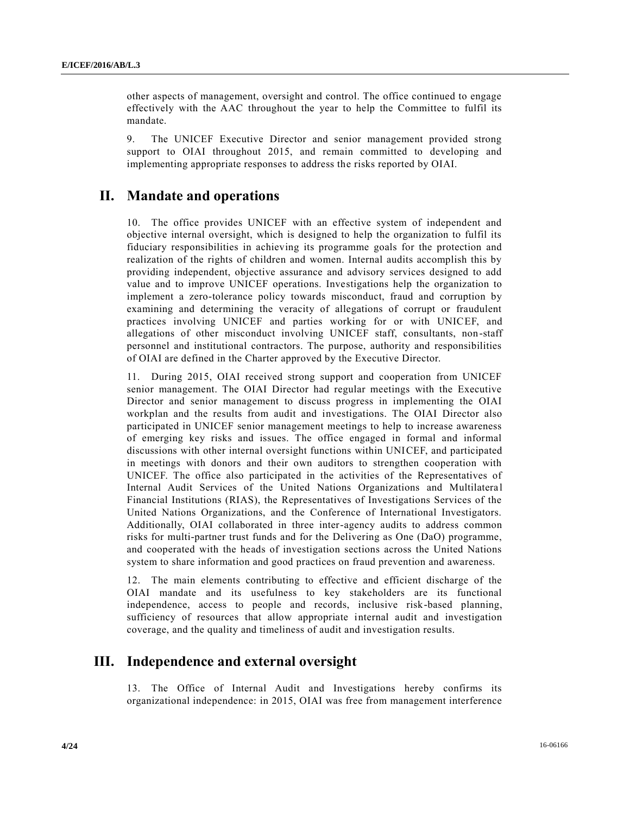other aspects of management, oversight and control. The office continued to engage effectively with the AAC throughout the year to help the Committee to fulfil its mandate.

9. The UNICEF Executive Director and senior management provided strong support to OIAI throughout 2015, and remain committed to developing and implementing appropriate responses to address the risks reported by OIAI.

## **II. Mandate and operations**

10. The office provides UNICEF with an effective system of independent and objective internal oversight, which is designed to help the organization to fulfil its fiduciary responsibilities in achieving its programme goals for the protection and realization of the rights of children and women. Internal audits accomplish this by providing independent, objective assurance and advisory services designed to add value and to improve UNICEF operations. Investigations help the organization to implement a zero-tolerance policy towards misconduct, fraud and corruption by examining and determining the veracity of allegations of corrupt or fraudulent practices involving UNICEF and parties working for or with UNICEF, and allegations of other misconduct involving UNICEF staff, consultants, non -staff personnel and institutional contractors. The purpose, authority and responsibilities of OIAI are defined in the Charter approved by the Executive Director.

11. During 2015, OIAI received strong support and cooperation from UNICEF senior management. The OIAI Director had regular meetings with the Executive Director and senior management to discuss progress in implementing the OIAI workplan and the results from audit and investigations. The OIAI Director also participated in UNICEF senior management meetings to help to increase awareness of emerging key risks and issues. The office engaged in formal and informal discussions with other internal oversight functions within UNICEF, and participated in meetings with donors and their own auditors to strengthen cooperation with UNICEF. The office also participated in the activities of the Representatives of Internal Audit Services of the United Nations Organizations and Multilatera l Financial Institutions (RIAS), the Representatives of Investigations Services of the United Nations Organizations, and the Conference of International Investigators. Additionally, OIAI collaborated in three inter-agency audits to address common risks for multi-partner trust funds and for the Delivering as One (DaO) programme, and cooperated with the heads of investigation sections across the United Nations system to share information and good practices on fraud prevention and awareness.

12. The main elements contributing to effective and efficient discharge of the OIAI mandate and its usefulness to key stakeholders are its functional independence, access to people and records, inclusive risk-based planning, sufficiency of resources that allow appropriate internal audit and investigation coverage, and the quality and timeliness of audit and investigation results.

## **III. Independence and external oversight**

13. The Office of Internal Audit and Investigations hereby confirms its organizational independence: in 2015, OIAI was free from management interference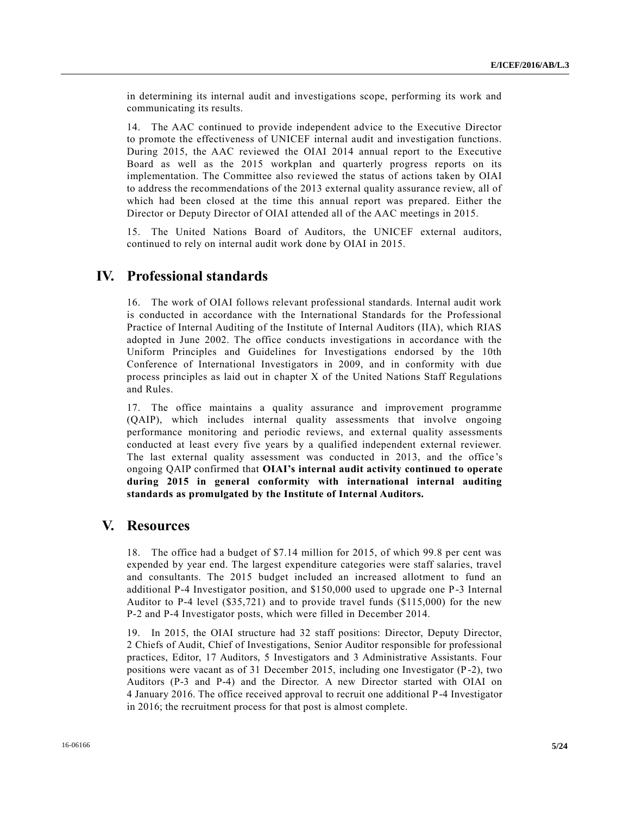in determining its internal audit and investigations scope, performing its work and communicating its results.

14. The AAC continued to provide independent advice to the Executive Director to promote the effectiveness of UNICEF internal audit and investigation functions. During 2015, the AAC reviewed the OIAI 2014 annual report to the Executive Board as well as the 2015 workplan and quarterly progress reports on its implementation. The Committee also reviewed the status of actions taken by OIAI to address the recommendations of the 2013 external quality assurance review, all of which had been closed at the time this annual report was prepared. Either the Director or Deputy Director of OIAI attended all of the AAC meetings in 2015.

15. The United Nations Board of Auditors, the UNICEF external auditors, continued to rely on internal audit work done by OIAI in 2015.

## **IV. Professional standards**

16. The work of OIAI follows relevant professional standards. Internal audit work is conducted in accordance with the International Standards for the Professional Practice of Internal Auditing of the Institute of Internal Auditors (IIA), which RIAS adopted in June 2002. The office conducts investigations in accordance with the Uniform Principles and Guidelines for Investigations endorsed by the 10th Conference of International Investigators in 2009, and in conformity with due process principles as laid out in chapter X of the United Nations Staff Regulations and Rules.

17. The office maintains a quality assurance and improvement programme (QAIP), which includes internal quality assessments that involve ongoing performance monitoring and periodic reviews, and external quality assessments conducted at least every five years by a qualified independent external reviewer. The last external quality assessment was conducted in 2013, and the office 's ongoing QAIP confirmed that **OIAI's internal audit activity continued to operate during 2015 in general conformity with international internal auditing standards as promulgated by the Institute of Internal Auditors.**

## **V. Resources**

18. The office had a budget of \$7.14 million for 2015, of which 99.8 per cent was expended by year end. The largest expenditure categories were staff salaries, travel and consultants. The 2015 budget included an increased allotment to fund an additional P-4 Investigator position, and \$150,000 used to upgrade one P-3 Internal Auditor to P-4 level (\$35,721) and to provide travel funds (\$115,000) for the new P-2 and P-4 Investigator posts, which were filled in December 2014.

19. In 2015, the OIAI structure had 32 staff positions: Director, Deputy Director, 2 Chiefs of Audit, Chief of Investigations, Senior Auditor responsible for professional practices, Editor, 17 Auditors, 5 Investigators and 3 Administrative Assistants. Four positions were vacant as of 31 December 2015, including one Investigator (P-2), two Auditors (P-3 and P-4) and the Director. A new Director started with OIAI on 4 January 2016. The office received approval to recruit one additional P-4 Investigator in 2016; the recruitment process for that post is almost complete.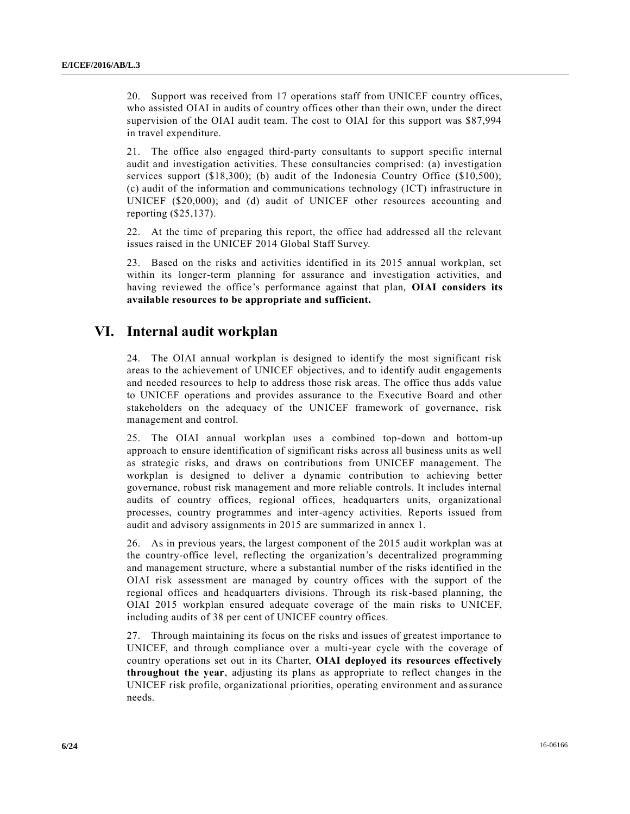20. Support was received from 17 operations staff from UNICEF country offices, who assisted OIAI in audits of country offices other than their own, under the direct supervision of the OIAI audit team. The cost to OIAI for this support was \$87,994 in travel expenditure.

21. The office also engaged third-party consultants to support specific internal audit and investigation activities. These consultancies comprised: (a) investigation services support (\$18,300); (b) audit of the Indonesia Country Office (\$10,500); (c) audit of the information and communications technology (ICT) infrastructure in UNICEF (\$20,000); and (d) audit of UNICEF other resources accounting and reporting (\$25,137).

22. At the time of preparing this report, the office had addressed all the relevant issues raised in the UNICEF 2014 Global Staff Survey.

23. Based on the risks and activities identified in its 2015 annual workplan, set within its longer-term planning for assurance and investigation activities, and having reviewed the office's performance against that plan, **OIAI considers its available resources to be appropriate and sufficient.**

## **VI. Internal audit workplan**

24. The OIAI annual workplan is designed to identify the most significant risk areas to the achievement of UNICEF objectives, and to identify audit engagements and needed resources to help to address those risk areas. The office thus adds value to UNICEF operations and provides assurance to the Executive Board and other stakeholders on the adequacy of the UNICEF framework of governance, risk management and control.

25. The OIAI annual workplan uses a combined top-down and bottom-up approach to ensure identification of significant risks across all business units as well as strategic risks, and draws on contributions from UNICEF management. The workplan is designed to deliver a dynamic contribution to achieving better governance, robust risk management and more reliable controls. It includes internal audits of country offices, regional offices, headquarters units, organizational processes, country programmes and inter-agency activities. Reports issued from audit and advisory assignments in 2015 are summarized in annex 1.

26. As in previous years, the largest component of the 2015 audit workplan was at the country-office level, reflecting the organization's decentralized programming and management structure, where a substantial number of the risks identified in the OIAI risk assessment are managed by country offices with the support of the regional offices and headquarters divisions. Through its risk-based planning, the OIAI 2015 workplan ensured adequate coverage of the main risks to UNICEF, including audits of 38 per cent of UNICEF country offices.

27. Through maintaining its focus on the risks and issues of greatest importance to UNICEF, and through compliance over a multi-year cycle with the coverage of country operations set out in its Charter, **OIAI deployed its resources effectively throughout the year**, adjusting its plans as appropriate to reflect changes in the UNICEF risk profile, organizational priorities, operating environment and assurance needs.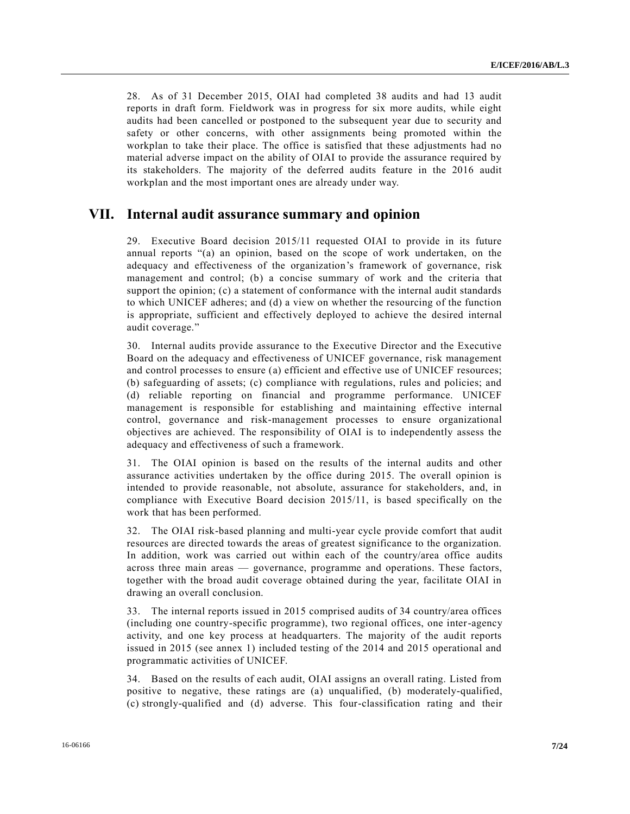28. As of 31 December 2015, OIAI had completed 38 audits and had 13 audit reports in draft form. Fieldwork was in progress for six more audits, while eight audits had been cancelled or postponed to the subsequent year due to security and safety or other concerns, with other assignments being promoted within the workplan to take their place. The office is satisfied that these adjustments had no material adverse impact on the ability of OIAI to provide the assurance required by its stakeholders. The majority of the deferred audits feature in the 2016 audit workplan and the most important ones are already under way.

## **VII. Internal audit assurance summary and opinion**

29. Executive Board decision 2015/11 requested OIAI to provide in its future annual reports "(a) an opinion, based on the scope of work undertaken, on the adequacy and effectiveness of the organization's framework of governance, risk management and control; (b) a concise summary of work and the criteria that support the opinion; (c) a statement of conformance with the internal audit standards to which UNICEF adheres; and (d) a view on whether the resourcing of the function is appropriate, sufficient and effectively deployed to achieve the desired internal audit coverage."

30. Internal audits provide assurance to the Executive Director and the Executive Board on the adequacy and effectiveness of UNICEF governance, risk management and control processes to ensure (a) efficient and effective use of UNICEF resources; (b) safeguarding of assets; (c) compliance with regulations, rules and policies; and (d) reliable reporting on financial and programme performance. UNICEF management is responsible for establishing and maintaining effective internal control, governance and risk-management processes to ensure organizational objectives are achieved. The responsibility of OIAI is to independently assess the adequacy and effectiveness of such a framework.

31. The OIAI opinion is based on the results of the internal audits and other assurance activities undertaken by the office during 2015. The overall opinion is intended to provide reasonable, not absolute, assurance for stakeholders, and, in compliance with Executive Board decision 2015/11, is based specifically on the work that has been performed.

32. The OIAI risk-based planning and multi-year cycle provide comfort that audit resources are directed towards the areas of greatest significance to the organization. In addition, work was carried out within each of the country/area office audits across three main areas — governance, programme and operations. These factors, together with the broad audit coverage obtained during the year, facilitate OIAI in drawing an overall conclusion.

33. The internal reports issued in 2015 comprised audits of 34 country/area offices (including one country-specific programme), two regional offices, one inter-agency activity, and one key process at headquarters. The majority of the audit reports issued in 2015 (see annex 1) included testing of the 2014 and 2015 operational and programmatic activities of UNICEF.

34. Based on the results of each audit, OIAI assigns an overall rating. Listed from positive to negative, these ratings are (a) unqualified, (b) moderately-qualified, (c) strongly-qualified and (d) adverse. This four-classification rating and their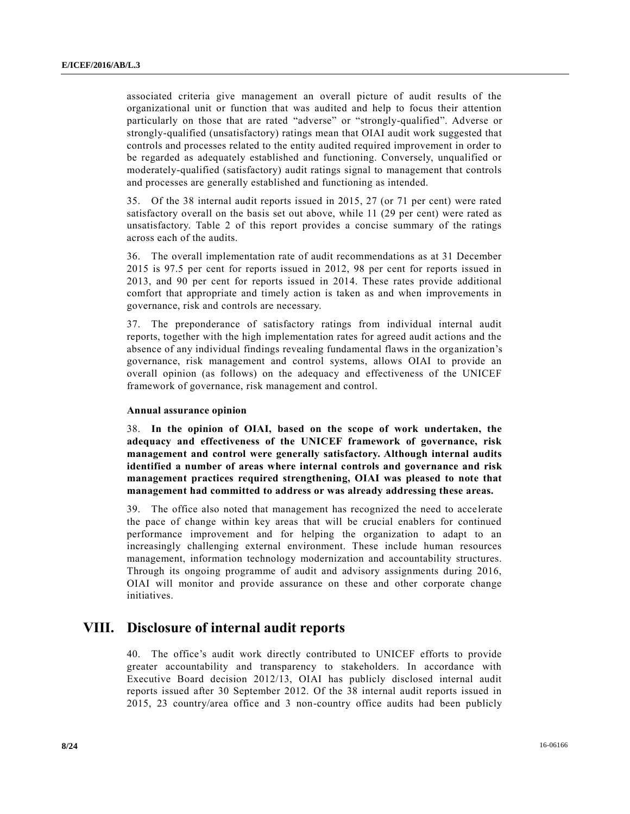associated criteria give management an overall picture of audit results of the organizational unit or function that was audited and help to focus their attention particularly on those that are rated "adverse" or "strongly-qualified". Adverse or strongly-qualified (unsatisfactory) ratings mean that OIAI audit work suggested that controls and processes related to the entity audited required improvement in order to be regarded as adequately established and functioning. Conversely, unqualified or moderately-qualified (satisfactory) audit ratings signal to management that controls and processes are generally established and functioning as intended.

35. Of the 38 internal audit reports issued in 2015, 27 (or 71 per cent) were rated satisfactory overall on the basis set out above, while 11 (29 per cent) were rated as unsatisfactory. Table 2 of this report provides a concise summary of the ratings across each of the audits.

36. The overall implementation rate of audit recommendations as at 31 December 2015 is 97.5 per cent for reports issued in 2012, 98 per cent for reports issued in 2013, and 90 per cent for reports issued in 2014. These rates provide additional comfort that appropriate and timely action is taken as and when improvements in governance, risk and controls are necessary.

37. The preponderance of satisfactory ratings from individual internal audit reports, together with the high implementation rates for agreed audit actions and the absence of any individual findings revealing fundamental flaws in the organization's governance, risk management and control systems, allows OIAI to provide an overall opinion (as follows) on the adequacy and effectiveness of the UNICEF framework of governance, risk management and control.

#### **Annual assurance opinion**

38. **In the opinion of OIAI, based on the scope of work undertaken, the adequacy and effectiveness of the UNICEF framework of governance, risk management and control were generally satisfactory. Although internal audits identified a number of areas where internal controls and governance and risk management practices required strengthening, OIAI was pleased to note that management had committed to address or was already addressing these areas.**

39. The office also noted that management has recognized the need to accelerate the pace of change within key areas that will be crucial enablers for continued performance improvement and for helping the organization to adapt to an increasingly challenging external environment. These include human resources management, information technology modernization and accountability structures. Through its ongoing programme of audit and advisory assignments during 2016, OIAI will monitor and provide assurance on these and other corporate change initiatives.

## **VIII. Disclosure of internal audit reports**

40. The office's audit work directly contributed to UNICEF efforts to provide greater accountability and transparency to stakeholders. In accordance with Executive Board decision 2012/13, OIAI has publicly disclosed internal audit reports issued after 30 September 2012. Of the 38 internal audit reports issued in 2015, 23 country/area office and 3 non-country office audits had been publicly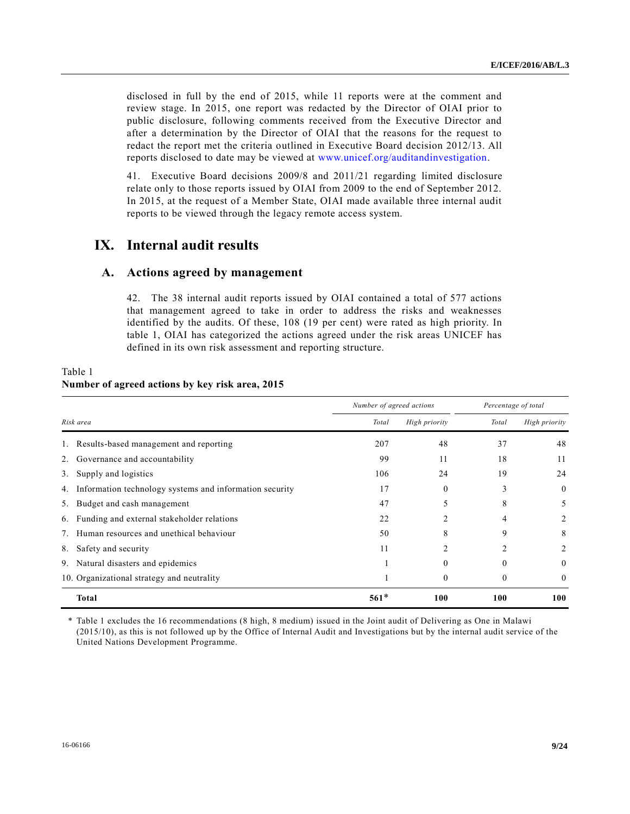disclosed in full by the end of 2015, while 11 reports were at the comment and review stage. In 2015, one report was redacted by the Director of OIAI prior to public disclosure, following comments received from the Executive Director and after a determination by the Director of OIAI that the reasons for the request to redact the report met the criteria outlined in Executive Board decision 2012/13. All reports disclosed to date may be viewed at [www.unicef.org/auditandinvestigation.](http://www.unicef.org/auditandinvestigation)

41. Executive Board decisions 2009/8 and 2011/21 regarding limited disclosure relate only to those reports issued by OIAI from 2009 to the end of September 2012. In 2015, at the request of a Member State, OIAI made available three internal audit reports to be viewed through the legacy remote access system.

## **IX. Internal audit results**

### **A. Actions agreed by management**

42. The 38 internal audit reports issued by OIAI contained a total of 577 actions that management agreed to take in order to address the risks and weaknesses identified by the audits. Of these, 108 (19 per cent) were rated as high priority. In table 1, OIAI has categorized the actions agreed under the risk areas UNICEF has defined in its own risk assessment and reporting structure.

|    |                                                         | Number of agreed actions |               | Percentage of total |                  |
|----|---------------------------------------------------------|--------------------------|---------------|---------------------|------------------|
|    | Risk area                                               | Total                    | High priority | Total               | High priority    |
|    | Results-based management and reporting                  | 207                      | 48            | 37                  | 48               |
|    | 2. Governance and accountability                        | 99                       | 11            | 18                  | 11               |
| 3. | Supply and logistics                                    | 106                      | 24            | 19                  | 24               |
| 4. | Information technology systems and information security | 17                       | 0             | 3                   | $\boldsymbol{0}$ |
|    | 5. Budget and cash management                           | 47                       |               | 8                   | 5                |
|    | 6. Funding and external stakeholder relations           | 22                       |               | 4                   | 2                |
|    | Human resources and unethical behaviour                 | 50                       | 8             | 9                   | 8                |
| 8. | Safety and security                                     | 11                       | 2             |                     | 2                |
|    | 9. Natural disasters and epidemics                      |                          | 0             | $\Omega$            | 0                |
|    | 10. Organizational strategy and neutrality              |                          | $\Omega$      | $\theta$            | 0                |
|    | Total                                                   | $561*$                   | 100           | 100                 | 100              |

#### Table 1 **Number of agreed actions by key risk area, 2015**

\* Table 1 excludes the 16 recommendations (8 high, 8 medium) issued in the Joint audit of Delivering as One in Malawi (2015/10), as this is not followed up by the Office of Internal Audit and Investigations but by the internal audit service of the United Nations Development Programme.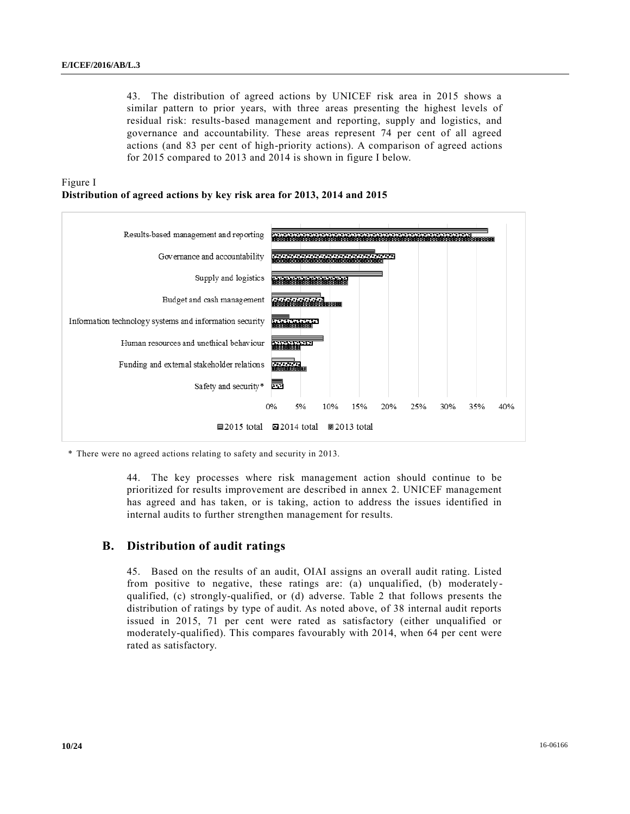43. The distribution of agreed actions by UNICEF risk area in 2015 shows a similar pattern to prior years, with three areas presenting the highest levels of residual risk: results-based management and reporting, supply and logistics, and governance and accountability. These areas represent 74 per cent of all agreed actions (and 83 per cent of high-priority actions). A comparison of agreed actions for 2015 compared to 2013 and 2014 is shown in figure I below.





\* There were no agreed actions relating to safety and security in 2013.

44. The key processes where risk management action should continue to be prioritized for results improvement are described in annex 2. UNICEF management has agreed and has taken, or is taking, action to address the issues identified in internal audits to further strengthen management for results.

#### **B. Distribution of audit ratings**

45. Based on the results of an audit, OIAI assigns an overall audit rating. Listed from positive to negative, these ratings are: (a) unqualified, (b) moderatelyqualified, (c) strongly-qualified, or (d) adverse. Table 2 that follows presents the distribution of ratings by type of audit. As noted above, of 38 internal audit reports issued in 2015, 71 per cent were rated as satisfactory (either unqualified or moderately-qualified). This compares favourably with 2014, when 64 per cent were rated as satisfactory.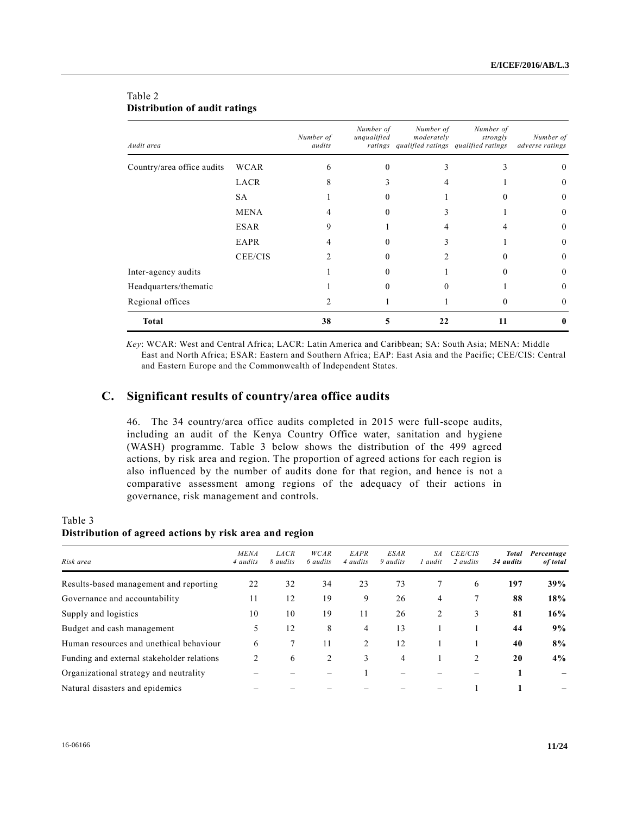| Audit area                 |             | Number of<br>audits | Number of<br>unqualified | Number of<br>moderately<br>ratings qualified ratings qualified ratings | Number of<br>strongly | Number of<br>adverse ratings |
|----------------------------|-------------|---------------------|--------------------------|------------------------------------------------------------------------|-----------------------|------------------------------|
| Country/area office audits | <b>WCAR</b> |                     |                          |                                                                        |                       |                              |
|                            | LACR        |                     |                          |                                                                        |                       | $\theta$                     |
|                            | SA.         |                     |                          |                                                                        |                       | $\theta$                     |
|                            | <b>MENA</b> |                     |                          |                                                                        |                       | $\Omega$                     |
|                            | <b>ESAR</b> |                     |                          |                                                                        |                       | $\Omega$                     |
|                            | EAPR        |                     |                          |                                                                        |                       | $\theta$                     |
|                            | CEE/CIS     |                     |                          |                                                                        |                       | $\Omega$                     |
| Inter-agency audits        |             |                     |                          |                                                                        |                       | $\Omega$                     |
| Headquarters/thematic      |             |                     |                          |                                                                        |                       | $\Omega$                     |
| Regional offices           |             |                     |                          |                                                                        |                       | $\Omega$                     |
| <b>Total</b>               |             | 38                  | ,                        | 22                                                                     | 11                    | 0                            |

### Table 2 **Distribution of audit ratings**

*Key*: WCAR: West and Central Africa; LACR: Latin America and Caribbean; SA: South Asia; MENA: Middle East and North Africa; ESAR: Eastern and Southern Africa; EAP: East Asia and the Pacific; CEE/CIS: Central and Eastern Europe and the Commonwealth of Independent States.

## **C. Significant results of country/area office audits**

46. The 34 country/area office audits completed in 2015 were full-scope audits, including an audit of the Kenya Country Office water, sanitation and hygiene (WASH) programme. Table 3 below shows the distribution of the 499 agreed actions, by risk area and region. The proportion of agreed actions for each region is also influenced by the number of audits done for that region, and hence is not a comparative assessment among regions of the adequacy of their actions in governance, risk management and controls.

### Table 3 **Distribution of agreed actions by risk area and region**

| Risk area                                  | <b>MENA</b><br>4 audits | <b>LACR</b><br>8 audits | WCAR<br>6 audits | EAPR<br>4 audits            | <b>ESAR</b><br>9 audits | SА<br>l audit | <b>CEE/CIS</b><br>2 <i>audits</i> | <b>Total</b><br>34 audits | Percentage<br>of total |
|--------------------------------------------|-------------------------|-------------------------|------------------|-----------------------------|-------------------------|---------------|-----------------------------------|---------------------------|------------------------|
| Results-based management and reporting     | 22                      | 32                      | 34               | 23                          | 73                      |               | 6                                 | 197                       | 39%                    |
| Governance and accountability              | 11                      | 12                      | 19               | 9                           | 26                      | 4             |                                   | 88                        | 18%                    |
| Supply and logistics                       | 10                      | 10                      | 19               | 11                          | 26                      | 2             | 3                                 | 81                        | 16%                    |
| Budget and cash management                 | 5                       | 12                      | 8                | 4                           | 13                      |               |                                   | 44                        | 9%                     |
| Human resources and unethical behaviour    | 6                       |                         | 11               | $\mathcal{D}_{\mathcal{L}}$ | 12                      |               |                                   | 40                        | $8\%$                  |
| Funding and external stakeholder relations | $\mathfrak{D}$          | 6                       | $\overline{c}$   | 3                           | 4                       |               | $\mathfrak{D}$                    | 20                        | $4\%$                  |
| Organizational strategy and neutrality     |                         |                         |                  |                             |                         |               |                                   |                           |                        |
| Natural disasters and epidemics            |                         |                         |                  |                             |                         |               |                                   |                           |                        |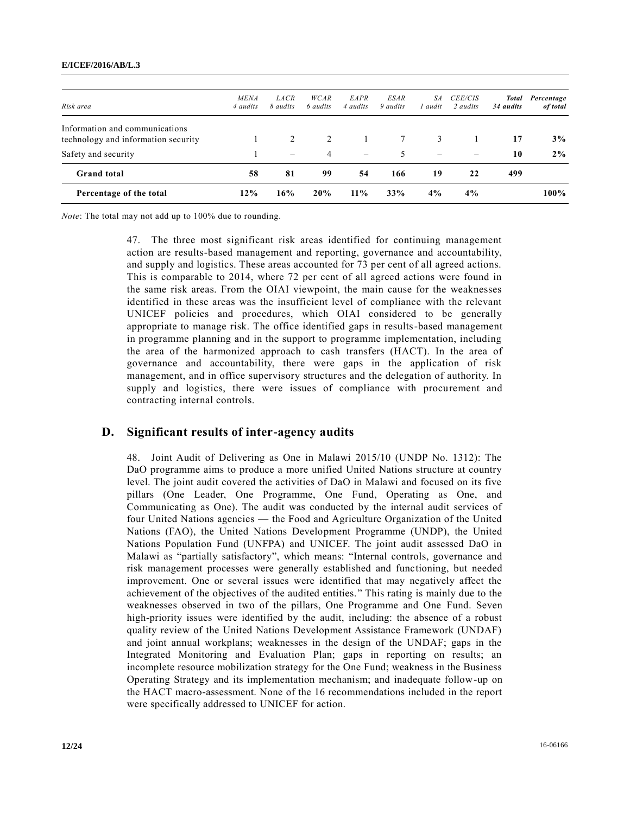#### **E/ICEF/2016/AB/L.3**

| Percentage of the total                                               | 12%                     | 16%                      | 20%                     | $11\%$                  | 33%                            | 4%                       | $4\%$                             |                                  | 100%                   |
|-----------------------------------------------------------------------|-------------------------|--------------------------|-------------------------|-------------------------|--------------------------------|--------------------------|-----------------------------------|----------------------------------|------------------------|
| <b>Grand</b> total                                                    | 58                      | 81                       | 99                      | 54                      | 166                            | 19                       | 22                                | 499                              |                        |
| Safety and security                                                   |                         | $\overline{\phantom{0}}$ | 4                       | $\equiv$                | 5                              | $\overline{\phantom{0}}$ |                                   | 10                               | 2%                     |
| Information and communications<br>technology and information security |                         | 2                        | 2                       |                         | 7                              | 3                        |                                   | 17                               | 3%                     |
| Risk area                                                             | <b>MENA</b><br>4 audits | LACR<br>8 <i>audits</i>  | WCAR<br>6 <i>audits</i> | EAPR<br>4 <i>audits</i> | <b>ESAR</b><br>9 <i>audits</i> | SA.<br>1 audit           | <b>CEE/CIS</b><br>2 <i>audits</i> | <b>Total</b><br>34 <i>audits</i> | Percentage<br>of total |

*Note*: The total may not add up to 100% due to rounding.

47. The three most significant risk areas identified for continuing management action are results-based management and reporting, governance and accountability, and supply and logistics. These areas accounted for 73 per cent of all agreed actions. This is comparable to 2014, where 72 per cent of all agreed actions were found in the same risk areas. From the OIAI viewpoint, the main cause for the weaknesses identified in these areas was the insufficient level of compliance with the relevant UNICEF policies and procedures, which OIAI considered to be generally appropriate to manage risk. The office identified gaps in results-based management in programme planning and in the support to programme implementation, including the area of the harmonized approach to cash transfers (HACT). In the area of governance and accountability, there were gaps in the application of risk management, and in office supervisory structures and the delegation of authority. In supply and logistics, there were issues of compliance with procurement and contracting internal controls.

#### **D. Significant results of inter-agency audits**

48. Joint Audit of Delivering as One in Malawi 2015/10 (UNDP No. 1312): The DaO programme aims to produce a more unified United Nations structure at country level. The joint audit covered the activities of DaO in Malawi and focused on its five pillars (One Leader, One Programme, One Fund, Operating as One, and Communicating as One). The audit was conducted by the internal audit services of four United Nations agencies — the Food and Agriculture Organization of the United Nations (FAO), the United Nations Development Programme (UNDP), the United Nations Population Fund (UNFPA) and UNICEF. The joint audit assessed DaO in Malawi as "partially satisfactory", which means: "Internal controls, governance and risk management processes were generally established and functioning, but needed improvement. One or several issues were identified that may negatively affect the achievement of the objectives of the audited entities." This rating is mainly due to the weaknesses observed in two of the pillars, One Programme and One Fund. Seven high-priority issues were identified by the audit, including: the absence of a robust quality review of the United Nations Development Assistance Framework (UNDAF) and joint annual workplans; weaknesses in the design of the UNDAF; gaps in the Integrated Monitoring and Evaluation Plan; gaps in reporting on results; an incomplete resource mobilization strategy for the One Fund; weakness in the Business Operating Strategy and its implementation mechanism; and inadequate follow-up on the HACT macro-assessment. None of the 16 recommendations included in the report were specifically addressed to UNICEF for action.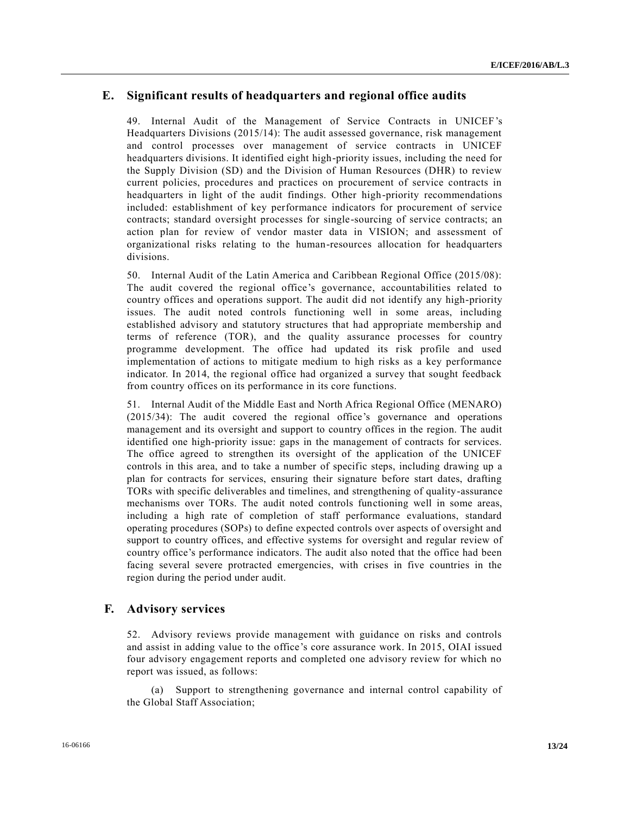### **E. Significant results of headquarters and regional office audits**

49. Internal Audit of the Management of Service Contracts in UNICEF's Headquarters Divisions (2015/14): The audit assessed governance, risk management and control processes over management of service contracts in UNICEF headquarters divisions. It identified eight high-priority issues, including the need for the Supply Division (SD) and the Division of Human Resources (DHR) to review current policies, procedures and practices on procurement of service contracts in headquarters in light of the audit findings. Other high-priority recommendations included: establishment of key performance indicators for procurement of service contracts; standard oversight processes for single-sourcing of service contracts; an action plan for review of vendor master data in VISION; and assessment of organizational risks relating to the human-resources allocation for headquarters divisions.

50. Internal Audit of the Latin America and Caribbean Regional Office (2015/08): The audit covered the regional office's governance, accountabilities related to country offices and operations support. The audit did not identify any high-priority issues. The audit noted controls functioning well in some areas, including established advisory and statutory structures that had appropriate membership and terms of reference (TOR), and the quality assurance processes for country programme development. The office had updated its risk profile and used implementation of actions to mitigate medium to high risks as a key performance indicator. In 2014, the regional office had organized a survey that sought feedback from country offices on its performance in its core functions.

51. Internal Audit of the Middle East and North Africa Regional Office (MENARO) (2015/34): The audit covered the regional office's governance and operations management and its oversight and support to country offices in the region. The audit identified one high-priority issue: gaps in the management of contracts for services. The office agreed to strengthen its oversight of the application of the UNICEF controls in this area, and to take a number of specific steps, including drawing up a plan for contracts for services, ensuring their signature before start dates, drafting TORs with specific deliverables and timelines, and strengthening of quality-assurance mechanisms over TORs. The audit noted controls functioning well in some areas, including a high rate of completion of staff performance evaluations, standard operating procedures (SOPs) to define expected controls over aspects of oversight and support to country offices, and effective systems for oversight and regular review of country office's performance indicators. The audit also noted that the office had been facing several severe protracted emergencies, with crises in five countries in the region during the period under audit.

#### **F. Advisory services**

52. Advisory reviews provide management with guidance on risks and controls and assist in adding value to the office's core assurance work. In 2015, OIAI issued four advisory engagement reports and completed one advisory review for which no report was issued, as follows:

(a) Support to strengthening governance and internal control capability of the Global Staff Association;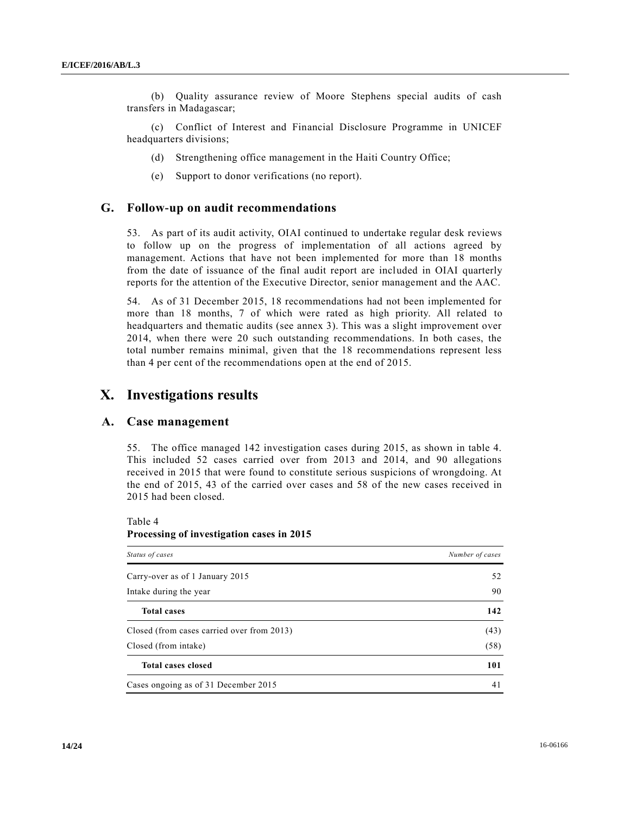(b) Quality assurance review of Moore Stephens special audits of cash transfers in Madagascar;

(c) Conflict of Interest and Financial Disclosure Programme in UNICEF headquarters divisions;

- (d) Strengthening office management in the Haiti Country Office;
- (e) Support to donor verifications (no report).

#### **G. Follow-up on audit recommendations**

53. As part of its audit activity, OIAI continued to undertake regular desk reviews to follow up on the progress of implementation of all actions agreed by management. Actions that have not been implemented for more than 18 months from the date of issuance of the final audit report are included in OIAI quarterly reports for the attention of the Executive Director, senior management and the AAC.

54. As of 31 December 2015, 18 recommendations had not been implemented for more than 18 months, 7 of which were rated as high priority. All related to headquarters and thematic audits (see annex 3). This was a slight improvement over 2014, when there were 20 such outstanding recommendations. In both cases, the total number remains minimal, given that the 18 recommendations represent less than 4 per cent of the recommendations open at the end of 2015.

## **X. Investigations results**

#### **A. Case management**

55. The office managed 142 investigation cases during 2015, as shown in table 4. This included 52 cases carried over from 2013 and 2014, and 90 allegations received in 2015 that were found to constitute serious suspicions of wrongdoing. At the end of 2015, 43 of the carried over cases and 58 of the new cases received in 2015 had been closed.

Table 4

**Processing of investigation cases in 2015**

| Status of cases                            | Number of cases |
|--------------------------------------------|-----------------|
| Carry-over as of 1 January 2015            | 52              |
| Intake during the year                     | 90              |
| <b>Total cases</b>                         | 142             |
| Closed (from cases carried over from 2013) | (43)            |
| Closed (from intake)                       | (58)            |
| <b>Total cases closed</b>                  | 101             |
| Cases ongoing as of 31 December 2015       | 41              |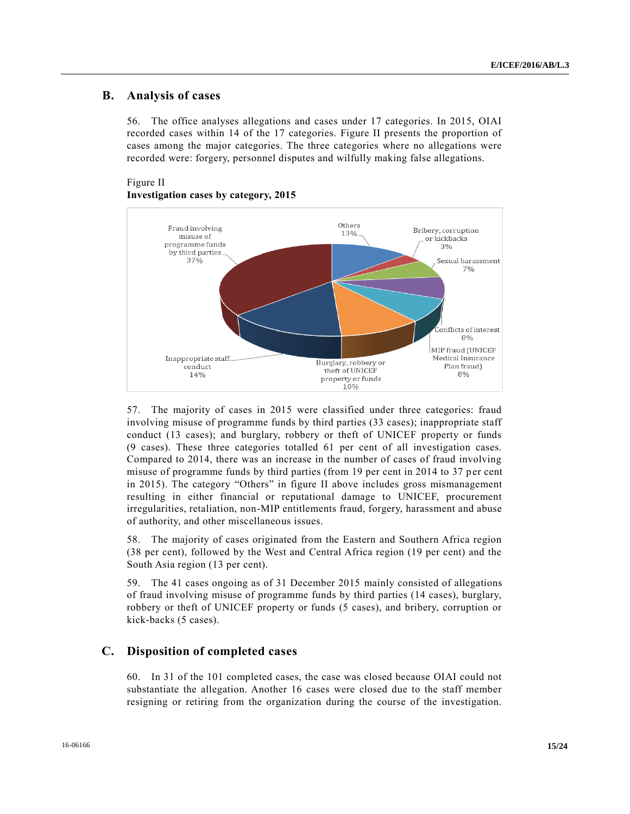### **B. Analysis of cases**

56. The office analyses allegations and cases under 17 categories. In 2015, OIAI recorded cases within 14 of the 17 categories. Figure II presents the proportion of cases among the major categories. The three categories where no allegations were recorded were: forgery, personnel disputes and wilfully making false allegations.

#### Figure II **Investigation cases by category, 2015**



57. The majority of cases in 2015 were classified under three categories: fraud involving misuse of programme funds by third parties (33 cases); inappropriate staff conduct (13 cases); and burglary, robbery or theft of UNICEF property or funds (9 cases). These three categories totalled 61 per cent of all investigation cases. Compared to 2014, there was an increase in the number of cases of fraud involving misuse of programme funds by third parties (from 19 per cent in 2014 to 37 per cent in 2015). The category "Others" in figure II above includes gross mismanagement resulting in either financial or reputational damage to UNICEF, procurement irregularities, retaliation, non-MIP entitlements fraud, forgery, harassment and abuse of authority, and other miscellaneous issues.

58. The majority of cases originated from the Eastern and Southern Africa region (38 per cent), followed by the West and Central Africa region (19 per cent) and the South Asia region (13 per cent).

59. The 41 cases ongoing as of 31 December 2015 mainly consisted of allegations of fraud involving misuse of programme funds by third parties (14 cases), burglary, robbery or theft of UNICEF property or funds (5 cases), and bribery, corruption or kick-backs (5 cases).

#### **C. Disposition of completed cases**

60. In 31 of the 101 completed cases, the case was closed because OIAI could not substantiate the allegation. Another 16 cases were closed due to the staff member resigning or retiring from the organization during the course of the investigation.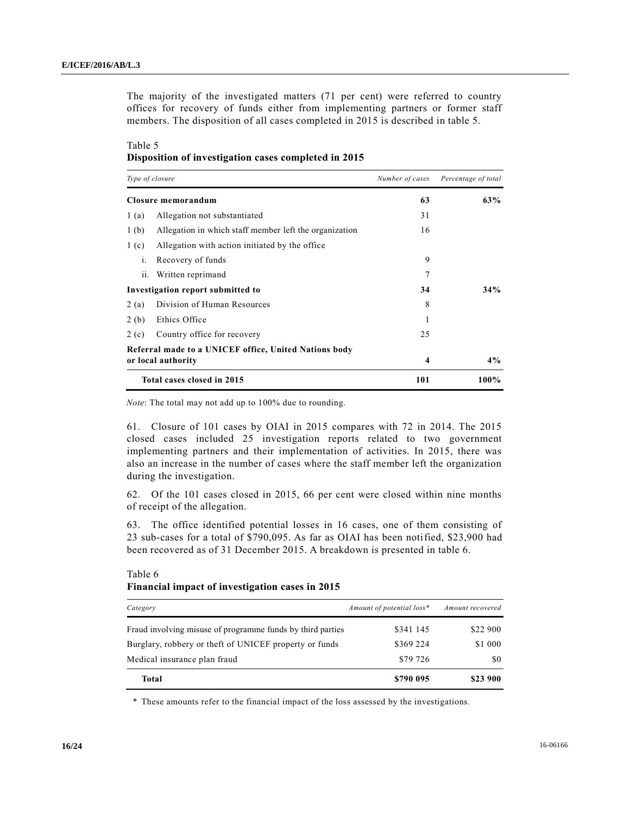The majority of the investigated matters (71 per cent) were referred to country offices for recovery of funds either from implementing partners or former staff members. The disposition of all cases completed in 2015 is described in table 5.

#### Table 5 **Disposition of investigation cases completed in 2015**

| Type of closure  |                                                        | Number of cases | Percentage of total |
|------------------|--------------------------------------------------------|-----------------|---------------------|
|                  | Closure memorandum                                     | 63              | 63%                 |
| 1(a)             | Allegation not substantiated                           | 31              |                     |
| 1 <sub>(b)</sub> | Allegation in which staff member left the organization | 16              |                     |
| 1(c)             | Allegation with action initiated by the office.        |                 |                     |
| $\mathbf{1}$ .   | Recovery of funds                                      | 9               |                     |
| ii.              | Written reprimand                                      | 7               |                     |
|                  | Investigation report submitted to                      | 34              | 34%                 |
| 2(a)             | Division of Human Resources                            | 8               |                     |
| 2(b)             | Ethics Office                                          |                 |                     |
| 2(c)             | Country office for recovery                            | 25              |                     |
|                  | Referral made to a UNICEF office, United Nations body  |                 |                     |
|                  | or local authority                                     | 4               | $4\%$               |
|                  | Total cases closed in 2015                             | 101             | 100%                |

*Note*: The total may not add up to 100% due to rounding.

61. Closure of 101 cases by OIAI in 2015 compares with 72 in 2014. The 2015 closed cases included 25 investigation reports related to two government implementing partners and their implementation of activities. In 2015, there was also an increase in the number of cases where the staff member left the organization during the investigation.

62. Of the 101 cases closed in 2015, 66 per cent were closed within nine months of receipt of the allegation.

63. The office identified potential losses in 16 cases, one of them consisting of 23 sub-cases for a total of \$790,095. As far as OIAI has been notified, \$23,900 had been recovered as of 31 December 2015. A breakdown is presented in table 6.

| Table 6 |  |
|---------|--|
|---------|--|

#### **Financial impact of investigation cases in 2015**

| Category                                                   | Amount of potential loss* | Amount recovered |
|------------------------------------------------------------|---------------------------|------------------|
| Fraud involving misuse of programme funds by third parties | \$341 145                 | \$22 900         |
| Burglary, robbery or theft of UNICEF property or funds     | \$369 224                 | \$1 000          |
| Medical insurance plan fraud                               | \$79 726                  | \$0              |
| Total                                                      | \$790 095                 | \$23 900         |

\* These amounts refer to the financial impact of the loss assessed by the investigations.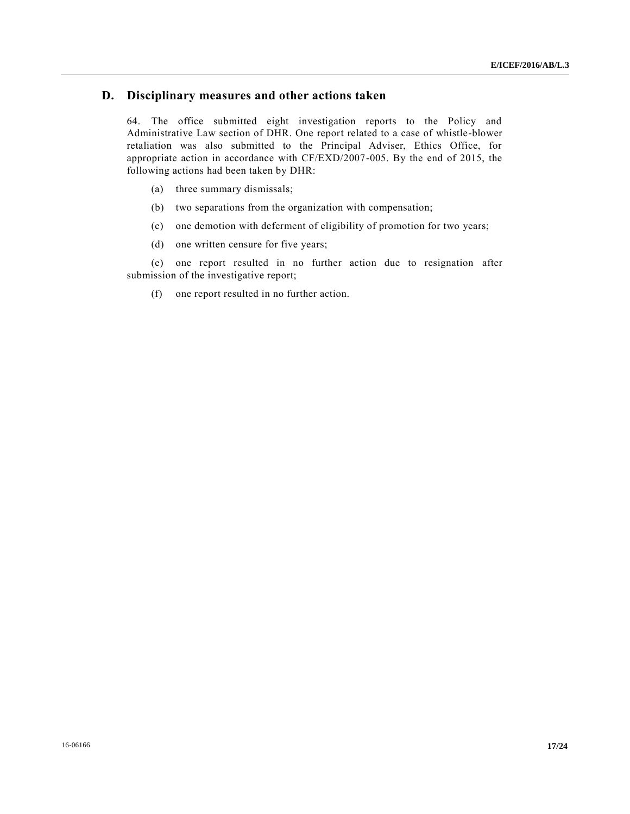### **D. Disciplinary measures and other actions taken**

64. The office submitted eight investigation reports to the Policy and Administrative Law section of DHR. One report related to a case of whistle-blower retaliation was also submitted to the Principal Adviser, Ethics Office, for appropriate action in accordance with CF/EXD/2007-005. By the end of 2015, the following actions had been taken by DHR:

- (a) three summary dismissals;
- (b) two separations from the organization with compensation;
- (c) one demotion with deferment of eligibility of promotion for two years;
- (d) one written censure for five years;

(e) one report resulted in no further action due to resignation after submission of the investigative report;

(f) one report resulted in no further action.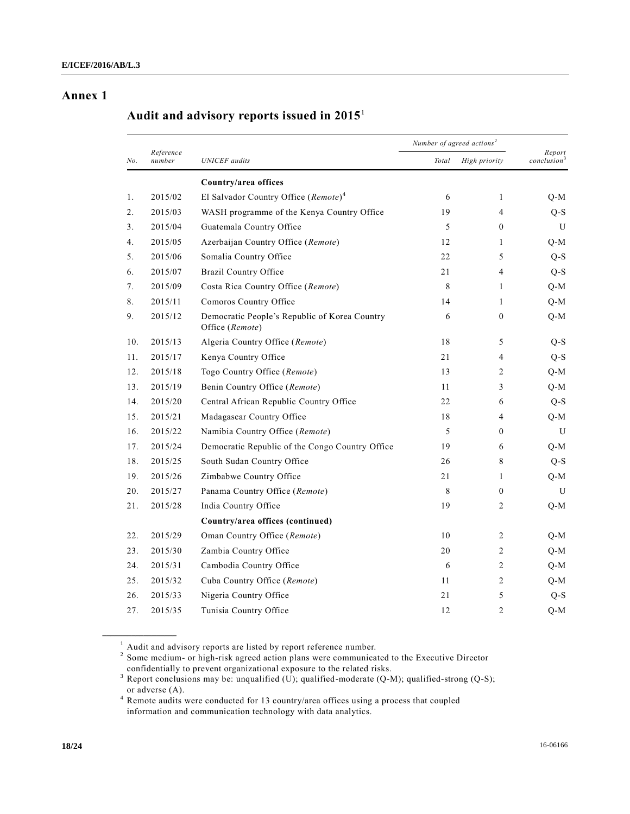### **Annex 1**

# **Audit and advisory reports issued in 2015**<sup>1</sup>

|     |                     |                                                                  |       | Number of agreed actions <sup>2</sup> |                                   |
|-----|---------------------|------------------------------------------------------------------|-------|---------------------------------------|-----------------------------------|
| No. | Reference<br>number | <b>UNICEF</b> audits                                             | Total | High priority                         | Report<br>conclusion <sup>3</sup> |
|     |                     | Country/area offices                                             |       |                                       |                                   |
| 1.  | 2015/02             | El Salvador Country Office ( $Remote$ ) <sup>4</sup>             | 6     | $\mathbf{1}$                          | Q-M                               |
| 2.  | 2015/03             | WASH programme of the Kenya Country Office                       | 19    | $\overline{4}$                        | $Q-S$                             |
| 3.  | 2015/04             | Guatemala Country Office                                         | 5     | $\mathbf{0}$                          | U                                 |
| 4.  | 2015/05             | Azerbaijan Country Office (Remote)                               | 12    | 1                                     | $Q-M$                             |
| 5.  | 2015/06             | Somalia Country Office                                           | 22    | 5                                     | $Q-S$                             |
| 6.  | 2015/07             | <b>Brazil Country Office</b>                                     | 21    | 4                                     | $Q-S$                             |
| 7.  | 2015/09             | Costa Rica Country Office (Remote)                               | 8     | 1                                     | $Q-M$                             |
| 8.  | 2015/11             | Comoros Country Office                                           | 14    | $\mathbf{1}$                          | Q-M                               |
| 9.  | 2015/12             | Democratic People's Republic of Korea Country<br>Office (Remote) | 6     | $\mathbf{0}$                          | $Q-M$                             |
| 10. | 2015/13             | Algeria Country Office (Remote)                                  | 18    | 5                                     | $Q-S$                             |
| 11. | 2015/17             | Kenya Country Office                                             | 21    | 4                                     | $Q-S$                             |
| 12. | 2015/18             | Togo Country Office (Remote)                                     | 13    | 2                                     | Q-M                               |
| 13. | 2015/19             | Benin Country Office (Remote)                                    | 11    | 3                                     | $Q-M$                             |
| 14. | 2015/20             | Central African Republic Country Office                          | 22    | 6                                     | $Q-S$                             |
| 15. | 2015/21             | Madagascar Country Office                                        | 18    | $\overline{4}$                        | $Q-M$                             |
| 16. | 2015/22             | Namibia Country Office (Remote)                                  | 5     | $\mathbf{0}$                          | U                                 |
| 17. | 2015/24             | Democratic Republic of the Congo Country Office                  | 19    | 6                                     | Q-M                               |
| 18. | 2015/25             | South Sudan Country Office                                       | 26    | 8                                     | $Q-S$                             |
| 19. | 2015/26             | Zimbabwe Country Office                                          | 21    | $\mathbf{1}$                          | $Q-M$                             |
| 20. | 2015/27             | Panama Country Office (Remote)                                   | 8     | $\mathbf{0}$                          | U                                 |
| 21. | 2015/28             | India Country Office                                             | 19    | 2                                     | $Q-M$                             |
|     |                     | Country/area offices (continued)                                 |       |                                       |                                   |
| 22. | 2015/29             | Oman Country Office (Remote)                                     | 10    | 2                                     | Q-M                               |
| 23. | 2015/30             | Zambia Country Office                                            | 20    | 2                                     | $Q-M$                             |
| 24. | 2015/31             | Cambodia Country Office                                          | 6     | $\overline{c}$                        | $Q-M$                             |
| 25. | 2015/32             | Cuba Country Office (Remote)                                     | 11    | 2                                     | $Q-M$                             |
| 26. | 2015/33             | Nigeria Country Office                                           | 21    | 5                                     | $Q-S$                             |
| 27. | 2015/35             | Tunisia Country Office                                           | 12    | $\overline{c}$                        | O-M                               |

<sup>4</sup> Remote audits were conducted for 13 country/area offices using a process that coupled information and communication technology with data analytics.

**\_\_\_\_\_\_\_\_\_\_\_\_\_\_\_\_\_\_**

 $1$  Audit and advisory reports are listed by report reference number.<br><sup>2</sup> Some medium- or high-risk agreed action plans were communicated to the Executive Director confidentially to prevent organizational exposure to the related risks.

<sup>&</sup>lt;sup>3</sup> Report conclusions may be: unqualified (U); qualified-moderate (Q-M); qualified-strong (Q-S); or adverse (A).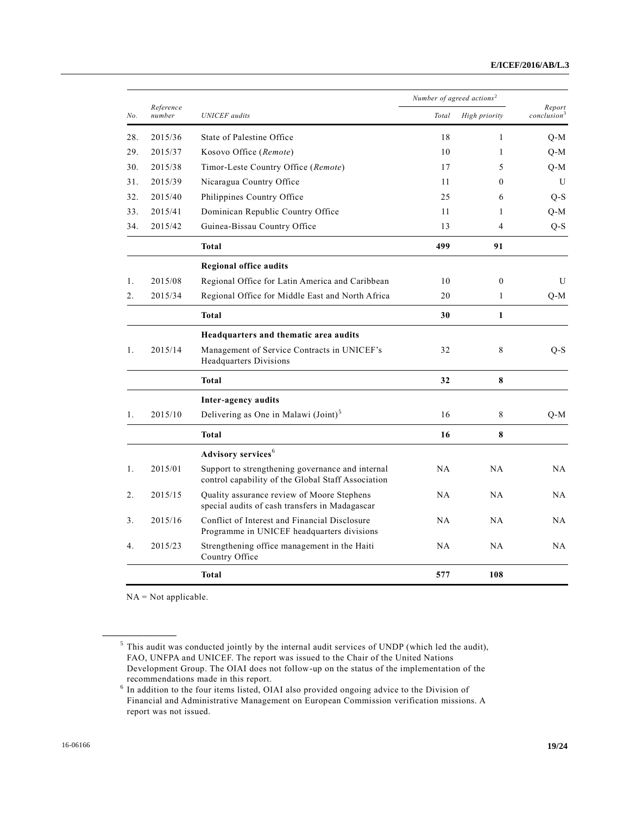|                |                     |                                                                                                        | Number of agreed actions <sup>2</sup> |                |                                   |
|----------------|---------------------|--------------------------------------------------------------------------------------------------------|---------------------------------------|----------------|-----------------------------------|
| No.            | Reference<br>number | <b>UNICEF</b> audits                                                                                   | Total                                 | High priority  | Report<br>conclusion <sup>3</sup> |
| 28.            | 2015/36             | State of Palestine Office                                                                              | 18                                    | $\mathbf{1}$   | $Q-M$                             |
| 29.            | 2015/37             | Kosovo Office (Remote)                                                                                 | 10                                    | $\mathbf{1}$   | Q-M                               |
| 30.            | 2015/38             | Timor-Leste Country Office (Remote)                                                                    | 17                                    | 5              | Q-M                               |
| 31.            | 2015/39             | Nicaragua Country Office                                                                               | 11                                    | $\theta$       | U                                 |
| 32.            | 2015/40             | Philippines Country Office                                                                             | 25                                    | 6              | $Q-S$                             |
| 33.            | 2015/41             | Dominican Republic Country Office                                                                      | 11                                    | $\mathbf{1}$   | $Q-M$                             |
| 34.            | 2015/42             | Guinea-Bissau Country Office                                                                           | 13                                    | $\overline{4}$ | $Q-S$                             |
|                |                     | <b>Total</b>                                                                                           | 499                                   | 91             |                                   |
|                |                     | <b>Regional office audits</b>                                                                          |                                       |                |                                   |
| 1.             | 2015/08             | Regional Office for Latin America and Caribbean                                                        | 10                                    | $\mathbf{0}$   | U                                 |
| 2.             | 2015/34             | Regional Office for Middle East and North Africa                                                       | 20                                    | $\mathbf{1}$   | $Q-M$                             |
|                |                     | <b>Total</b>                                                                                           | 30                                    | $\mathbf{1}$   |                                   |
|                |                     | Headquarters and thematic area audits                                                                  |                                       |                |                                   |
| $\mathbf{1}$ . | 2015/14             | Management of Service Contracts in UNICEF's<br><b>Headquarters Divisions</b>                           | 32                                    | 8              | $O-S$                             |
|                |                     | <b>Total</b>                                                                                           | 32                                    | 8              |                                   |
|                |                     | Inter-agency audits                                                                                    |                                       |                |                                   |
| $\mathbf{1}$ . | 2015/10             | Delivering as One in Malawi (Joint) <sup>5</sup>                                                       | 16                                    | 8              | Q-M                               |
|                |                     | <b>Total</b>                                                                                           | 16                                    | 8              |                                   |
|                |                     | Advisory services <sup>6</sup>                                                                         |                                       |                |                                   |
| 1.             | 2015/01             | Support to strengthening governance and internal<br>control capability of the Global Staff Association | NA                                    | NA             | NA                                |
| 2.             | 2015/15             | Quality assurance review of Moore Stephens<br>special audits of cash transfers in Madagascar           | NA                                    | NA             | NA                                |
| 3.             | 2015/16             | Conflict of Interest and Financial Disclosure<br>Programme in UNICEF headquarters divisions            | NA                                    | NA             | NA                                |
| 4.             | 2015/23             | Strengthening office management in the Haiti<br>Country Office                                         | NA                                    | NA             | NA                                |
|                |                     | <b>Total</b>                                                                                           | 577                                   | 108            |                                   |

NA = Not applicable.

**\_\_\_\_\_\_\_\_\_\_\_\_\_\_\_\_\_\_**

 $<sup>5</sup>$  This audit was conducted jointly by the internal audit services of UNDP (which led the audit),</sup> FAO, UNFPA and UNICEF. The report was issued to the Chair of the United Nations Development Group. The OIAI does not follow-up on the status of the implementation of the recommendations made in this report.

<sup>&</sup>lt;sup>6</sup> In addition to the four items listed, OIAI also provided ongoing advice to the Division of Financial and Administrative Management on European Commission verification missions. A report was not issued.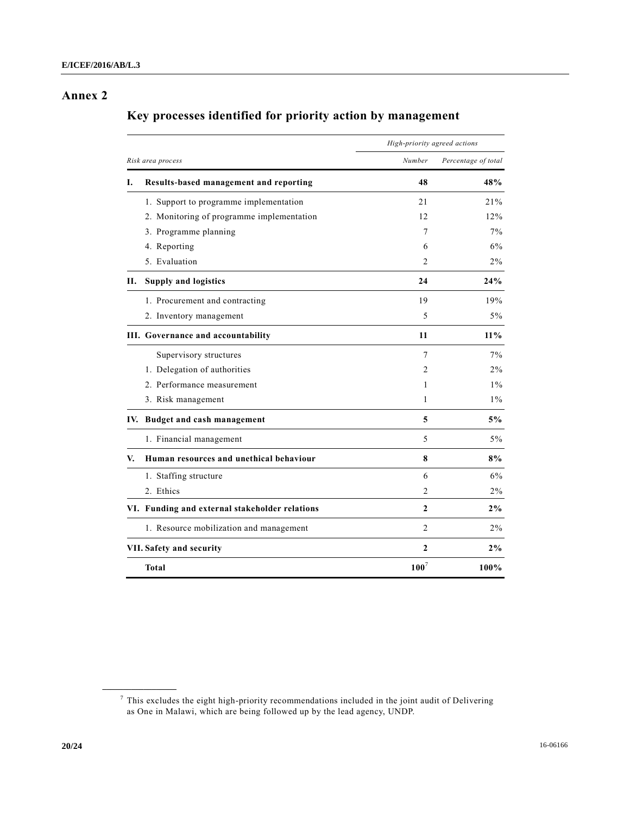## **Annex 2**

# **Key processes identified for priority action by management**

|    |                                                | High-priority agreed actions |                     |  |  |
|----|------------------------------------------------|------------------------------|---------------------|--|--|
|    | Risk area process                              | Number                       | Percentage of total |  |  |
| I. | Results-based management and reporting         | 48                           | 48%                 |  |  |
|    | 1. Support to programme implementation         | 21                           | 21%                 |  |  |
|    | 2. Monitoring of programme implementation      | 12                           | 12%                 |  |  |
|    | 3. Programme planning                          | 7                            | 7%                  |  |  |
|    | 4. Reporting                                   | 6                            | 6%                  |  |  |
|    | 5. Evaluation                                  | $\overline{c}$               | 2%                  |  |  |
| П. | <b>Supply and logistics</b>                    | 24                           | 24%                 |  |  |
|    | 1. Procurement and contracting                 | 19                           | 19%                 |  |  |
|    | 2. Inventory management                        | 5                            | $5\%$               |  |  |
|    | III. Governance and accountability             | 11                           | 11%                 |  |  |
|    | Supervisory structures                         | 7                            | 7%                  |  |  |
|    | 1. Delegation of authorities                   | 2                            | $2\%$               |  |  |
|    | 2. Performance measurement                     | 1                            | $1\%$               |  |  |
|    | 3. Risk management                             | 1                            | $1\%$               |  |  |
|    | IV. Budget and cash management                 | 5                            | 5%                  |  |  |
|    | 1. Financial management                        | 5                            | $5\%$               |  |  |
| V. | Human resources and unethical behaviour        | 8                            | 8%                  |  |  |
|    | 1. Staffing structure                          | 6                            | 6%                  |  |  |
|    | 2. Ethics                                      | 2                            | $2\%$               |  |  |
|    | VI. Funding and external stakeholder relations | $\mathbf{2}$                 | 2%                  |  |  |
|    | 1. Resource mobilization and management        | $\overline{2}$               | $2\%$               |  |  |
|    | VII. Safety and security                       | 2                            | 2%                  |  |  |
|    | <b>Total</b>                                   | 100 <sup>7</sup>             | 100%                |  |  |

**\_\_\_\_\_\_\_\_\_\_\_\_\_\_\_\_\_\_**

 $\sigma$  This excludes the eight high-priority recommendations included in the joint audit of Delivering as One in Malawi, which are being followed up by the lead agency, UNDP.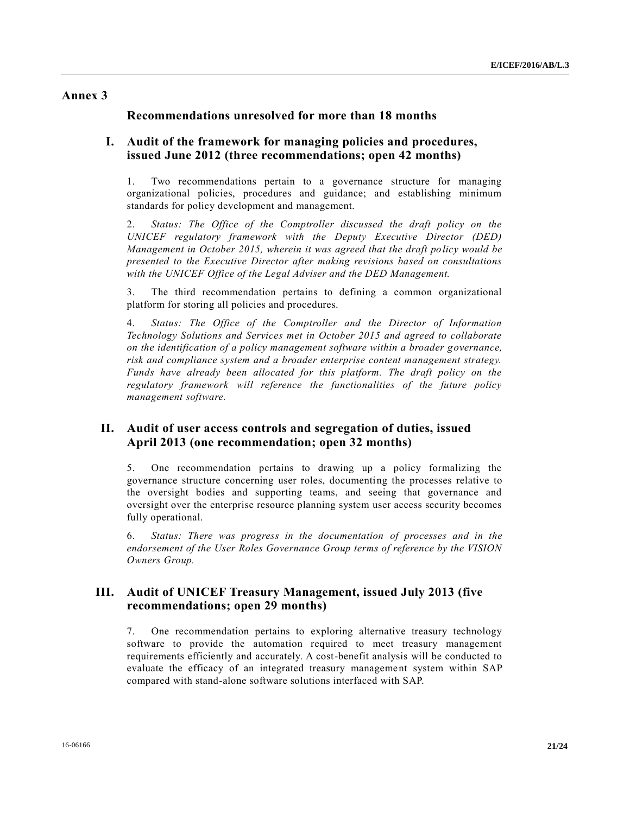### **Annex 3**

### **Recommendations unresolved for more than 18 months**

### **I. Audit of the framework for managing policies and procedures, issued June 2012 (three recommendations; open 42 months)**

1. Two recommendations pertain to a governance structure for managing organizational policies, procedures and guidance; and establishing minimum standards for policy development and management.

2. *Status: The Office of the Comptroller discussed the draft policy on the UNICEF regulatory framework with the Deputy Executive Director (DED) Management in October 2015, wherein it was agreed that the draft policy would be presented to the Executive Director after making revisions based on consultations with the UNICEF Office of the Legal Adviser and the DED Management.*

3. The third recommendation pertains to defining a common organizational platform for storing all policies and procedures.

4. *Status: The Office of the Comptroller and the Director of Information Technology Solutions and Services met in October 2015 and agreed to collaborate on the identification of a policy management software within a broader governance, risk and compliance system and a broader enterprise content management strategy. Funds have already been allocated for this platform. The draft policy on the regulatory framework will reference the functionalities of the future policy management software.*

### **II. Audit of user access controls and segregation of duties, issued April 2013 (one recommendation; open 32 months)**

5. One recommendation pertains to drawing up a policy formalizing the governance structure concerning user roles, documenting the processes relative to the oversight bodies and supporting teams, and seeing that governance and oversight over the enterprise resource planning system user access security becomes fully operational.

6. *Status: There was progress in the documentation of processes and in the endorsement of the User Roles Governance Group terms of reference by the VISION Owners Group.*

### **III. Audit of UNICEF Treasury Management, issued July 2013 (five recommendations; open 29 months)**

7. One recommendation pertains to exploring alternative treasury technology software to provide the automation required to meet treasury management requirements efficiently and accurately. A cost-benefit analysis will be conducted to evaluate the efficacy of an integrated treasury management system within SAP compared with stand-alone software solutions interfaced with SAP.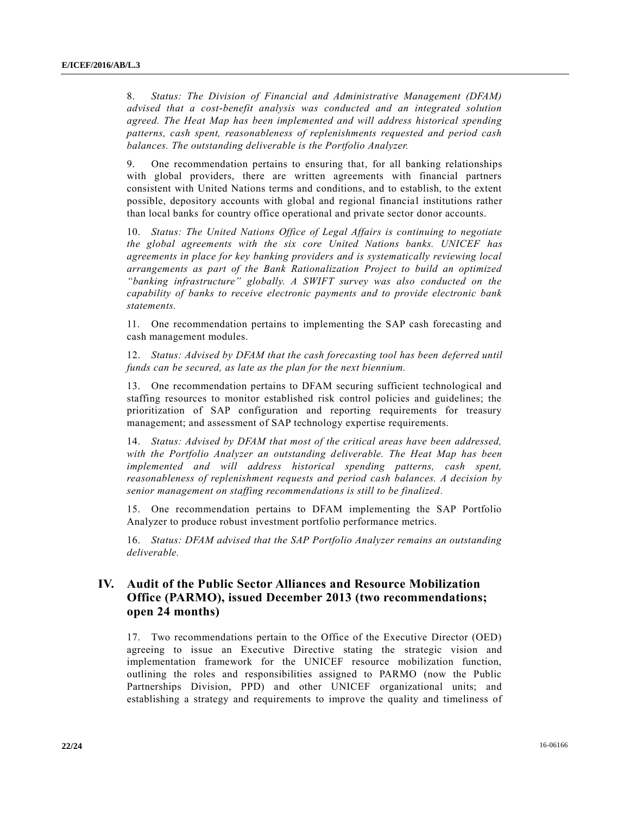8. *Status: The Division of Financial and Administrative Management (DFAM) advised that a cost-benefit analysis was conducted and an integrated solution agreed. The Heat Map has been implemented and will address historical spending patterns, cash spent, reasonableness of replenishments requested and period cash balances. The outstanding deliverable is the Portfolio Analyzer.* 

9. One recommendation pertains to ensuring that, for all banking relationships with global providers, there are written agreements with financial partners consistent with United Nations terms and conditions, and to establish, to the extent possible, depository accounts with global and regional financial institutions rather than local banks for country office operational and private sector donor accounts.

10. *Status: The United Nations Office of Legal Affairs is continuing to negotiate the global agreements with the six core United Nations banks. UNICEF has agreements in place for key banking providers and is systematically reviewing local arrangements as part of the Bank Rationalization Project to build an optimized "banking infrastructure" globally. A SWIFT survey was also conducted on the capability of banks to receive electronic payments and to provide electronic bank statements.*

11. One recommendation pertains to implementing the SAP cash forecasting and cash management modules.

12. *Status: Advised by DFAM that the cash forecasting tool has been deferred until funds can be secured, as late as the plan for the next biennium.*

13. One recommendation pertains to DFAM securing sufficient technological and staffing resources to monitor established risk control policies and guidelines; the prioritization of SAP configuration and reporting requirements for treasury management; and assessment of SAP technology expertise requirements.

14. *Status: Advised by DFAM that most of the critical areas have been addressed, with the Portfolio Analyzer an outstanding deliverable. The Heat Map has been implemented and will address historical spending patterns, cash spent, reasonableness of replenishment requests and period cash balances. A decision by senior management on staffing recommendations is still to be finalized.*

15. One recommendation pertains to DFAM implementing the SAP Portfolio Analyzer to produce robust investment portfolio performance metrics.

16. *Status: DFAM advised that the SAP Portfolio Analyzer remains an outstanding deliverable.*

## **IV. Audit of the Public Sector Alliances and Resource Mobilization Office (PARMO), issued December 2013 (two recommendations; open 24 months)**

17. Two recommendations pertain to the Office of the Executive Director (OED) agreeing to issue an Executive Directive stating the strategic vision and implementation framework for the UNICEF resource mobilization function, outlining the roles and responsibilities assigned to PARMO (now the Public Partnerships Division, PPD) and other UNICEF organizational units; and establishing a strategy and requirements to improve the quality and timeliness of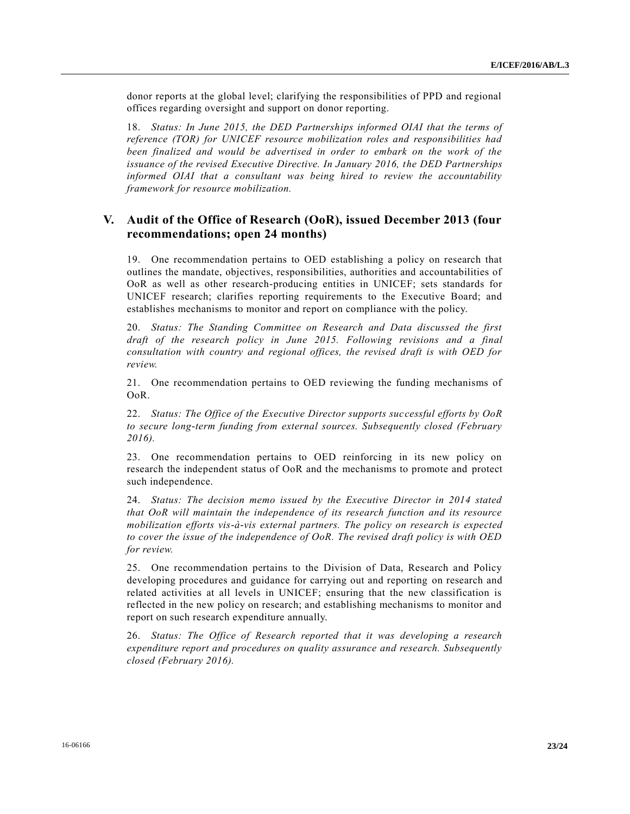donor reports at the global level; clarifying the responsibilities of PPD and regional offices regarding oversight and support on donor reporting.

18. *Status: In June 2015, the DED Partnerships informed OIAI that the terms of reference (TOR) for UNICEF resource mobilization roles and responsibilities had been finalized and would be advertised in order to embark on the work of the issuance of the revised Executive Directive. In January 2016, the DED Partnerships informed OIAI that a consultant was being hired to review the accountability framework for resource mobilization.*

### **V. Audit of the Office of Research (OoR), issued December 2013 (four recommendations; open 24 months)**

19. One recommendation pertains to OED establishing a policy on research that outlines the mandate, objectives, responsibilities, authorities and accountabilities of OoR as well as other research-producing entities in UNICEF; sets standards for UNICEF research; clarifies reporting requirements to the Executive Board; and establishes mechanisms to monitor and report on compliance with the policy.

20. *Status: The Standing Committee on Research and Data discussed the first draft of the research policy in June 2015. Following revisions and a final consultation with country and regional offices, the revised draft is with OED for review.*

21. One recommendation pertains to OED reviewing the funding mechanisms of OoR.

22. *Status: The Office of the Executive Director supports successful efforts by OoR to secure long-term funding from external sources. Subsequently closed (February 2016).*

23. One recommendation pertains to OED reinforcing in its new policy on research the independent status of OoR and the mechanisms to promote and protect such independence.

24. *Status: The decision memo issued by the Executive Director in 2014 stated that OoR will maintain the independence of its research function and its resource mobilization efforts vis-à-vis external partners. The policy on research is expected to cover the issue of the independence of OoR. The revised draft policy is with OED for review.* 

25. One recommendation pertains to the Division of Data, Research and Policy developing procedures and guidance for carrying out and reporting on research and related activities at all levels in UNICEF; ensuring that the new classification is reflected in the new policy on research; and establishing mechanisms to monitor and report on such research expenditure annually.

26. *Status: The Office of Research reported that it was developing a research expenditure report and procedures on quality assurance and research. Subsequently closed (February 2016).*